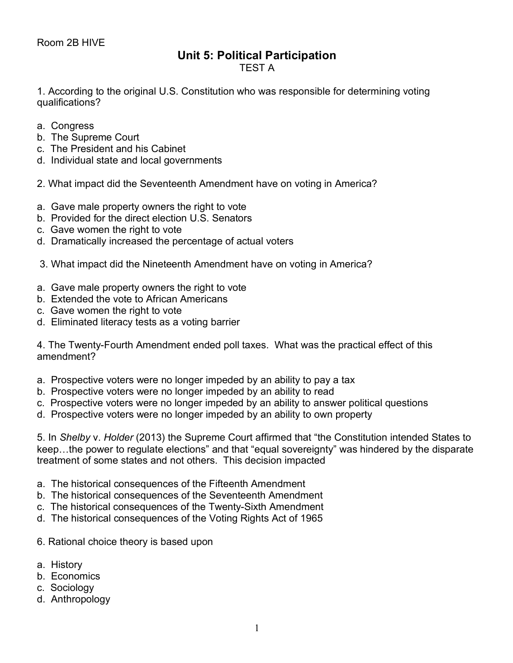## **Unit 5: Political Participation**

TEST A

1. According to the original U.S. Constitution who was responsible for determining voting qualifications?

- a. Congress
- b. The Supreme Court
- c. The President and his Cabinet
- d. Individual state and local governments
- 2. What impact did the Seventeenth Amendment have on voting in America?
- a. Gave male property owners the right to vote
- b. Provided for the direct election U.S. Senators
- c. Gave women the right to vote
- d. Dramatically increased the percentage of actual voters
- 3. What impact did the Nineteenth Amendment have on voting in America?
- a. Gave male property owners the right to vote
- b. Extended the vote to African Americans
- c. Gave women the right to vote
- d. Eliminated literacy tests as a voting barrier

4. The Twenty-Fourth Amendment ended poll taxes. What was the practical effect of this amendment?

- a. Prospective voters were no longer impeded by an ability to pay a tax
- b. Prospective voters were no longer impeded by an ability to read
- c. Prospective voters were no longer impeded by an ability to answer political questions
- d. Prospective voters were no longer impeded by an ability to own property

5. In *Shelby* v. *Holder* (2013) the Supreme Court affirmed that "the Constitution intended States to keep…the power to regulate elections" and that "equal sovereignty" was hindered by the disparate treatment of some states and not others. This decision impacted

- a. The historical consequences of the Fifteenth Amendment
- b. The historical consequences of the Seventeenth Amendment
- c. The historical consequences of the Twenty-Sixth Amendment
- d. The historical consequences of the Voting Rights Act of 1965
- 6. Rational choice theory is based upon
- a. History
- b. Economics
- c. Sociology
- d. Anthropology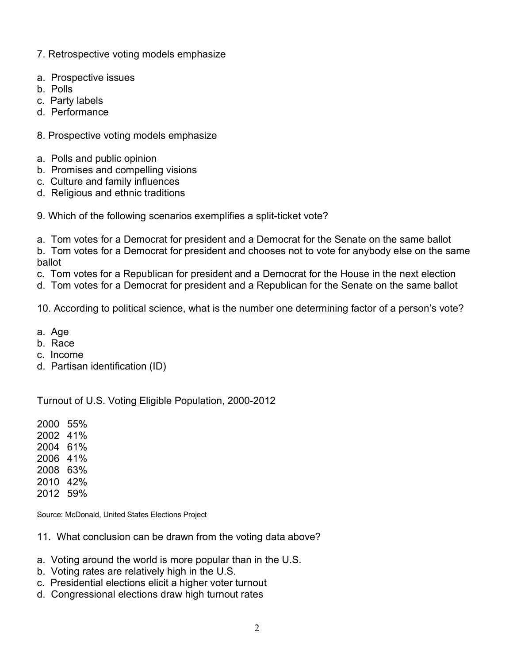- 7. Retrospective voting models emphasize
- a. Prospective issues
- b. Polls
- c. Party labels
- d. Performance
- 8. Prospective voting models emphasize
- a. Polls and public opinion
- b. Promises and compelling visions
- c. Culture and family influences
- d. Religious and ethnic traditions
- 9. Which of the following scenarios exemplifies a split-ticket vote?
- a. Tom votes for a Democrat for president and a Democrat for the Senate on the same ballot b. Tom votes for a Democrat for president and chooses not to vote for anybody else on the same ballot
- c. Tom votes for a Republican for president and a Democrat for the House in the next election
- d. Tom votes for a Democrat for president and a Republican for the Senate on the same ballot
- 10. According to political science, what is the number one determining factor of a person's vote?
- a. Age
- b. Race
- c. Income
- d. Partisan identification (ID)

Turnout of U.S. Voting Eligible Population, 2000-2012

2000 55%

- 2002 41%
- 2004 61%
- 2006 41%
- 2008 63%
- 2010 42%
- 2012 59%

Source: McDonald, United States Elections Project

- 11. What conclusion can be drawn from the voting data above?
- a. Voting around the world is more popular than in the U.S.
- b. Voting rates are relatively high in the U.S.
- c. Presidential elections elicit a higher voter turnout
- d. Congressional elections draw high turnout rates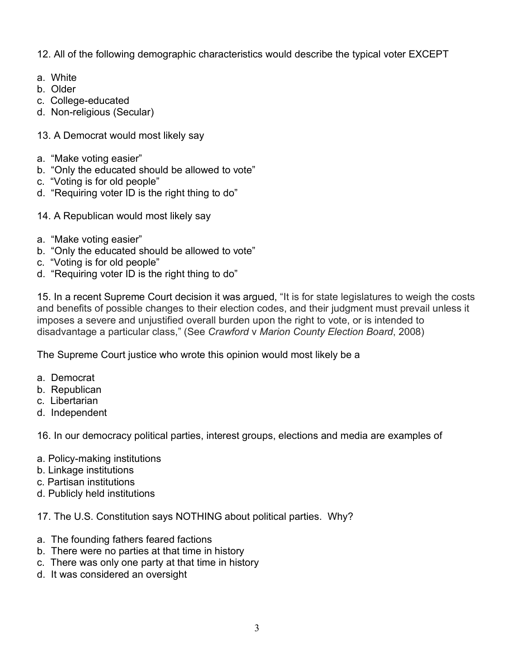12. All of the following demographic characteristics would describe the typical voter EXCEPT

- a. White
- b. Older
- c. College-educated
- d. Non-religious (Secular)
- 13. A Democrat would most likely say
- a. "Make voting easier"
- b. "Only the educated should be allowed to vote"
- c. "Voting is for old people"
- d. "Requiring voter ID is the right thing to do"
- 14. A Republican would most likely say
- a. "Make voting easier"
- b. "Only the educated should be allowed to vote"
- c. "Voting is for old people"
- d. "Requiring voter ID is the right thing to do"

15. In a recent Supreme Court decision it was argued, "It is for state legislatures to weigh the costs and benefits of possible changes to their election codes, and their judgment must prevail unless it imposes a severe and unjustified overall burden upon the right to vote, or is intended to disadvantage a particular class," (See *Crawford* v *Marion County Election Board*, 2008)

The Supreme Court justice who wrote this opinion would most likely be a

- a. Democrat
- b. Republican
- c. Libertarian
- d. Independent

16. In our democracy political parties, interest groups, elections and media are examples of

- a. Policy-making institutions
- b. Linkage institutions
- c. Partisan institutions
- d. Publicly held institutions

17. The U.S. Constitution says NOTHING about political parties. Why?

- a. The founding fathers feared factions
- b. There were no parties at that time in history
- c. There was only one party at that time in history
- d. It was considered an oversight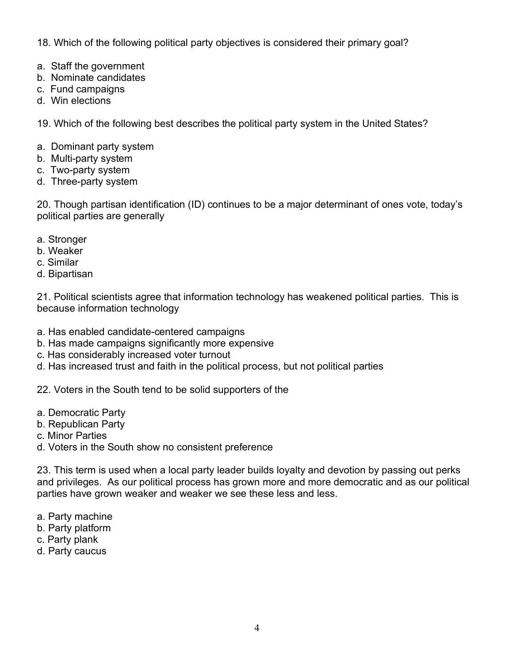18. Which of the following political party objectives is considered their primary goal?

- a. Staff the government
- b. Nominate candidates
- c. Fund campaigns
- d. Win elections

19. Which of the following best describes the political party system in the United States?

- a. Dominant party system
- b. Multi-party system
- c. Two-party system
- d. Three-party system

20. Though partisan identification (ID) continues to be a major determinant of ones vote, today's political parties are generally

- a. Stronger
- b. Weaker
- c. Similar
- d. Bipartisan

21. Political scientists agree that information technology has weakened political parties. This is because information technology

- a. Has enabled candidate-centered campaigns
- b. Has made campaigns significantly more expensive
- c. Has considerably increased voter turnout
- d. Has increased trust and faith in the political process, but not political parties

22. Voters in the South tend to be solid supporters of the

- a. Democratic Party
- b. Republican Party
- c. Minor Parties
- d. Voters in the South show no consistent preference

23. This term is used when a local party leader builds loyalty and devotion by passing out perks and privileges. As our political process has grown more and more democratic and as our political parties have grown weaker and weaker we see these less and less.

- a. Party machine
- b. Party platform
- c. Party plank
- d. Party caucus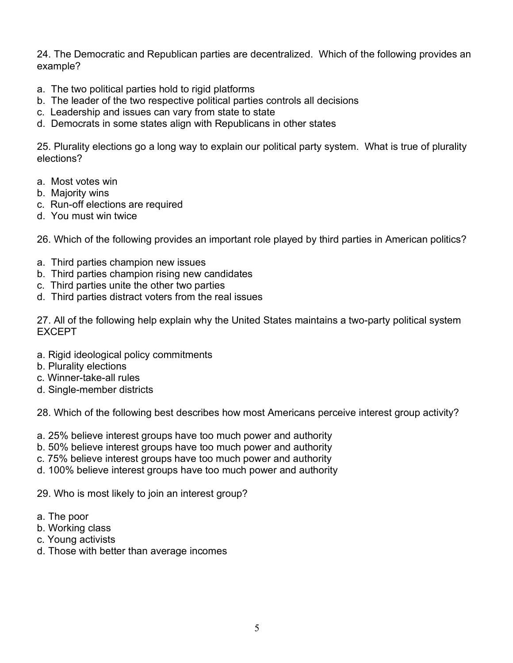24. The Democratic and Republican parties are decentralized. Which of the following provides an example?

- a. The two political parties hold to rigid platforms
- b. The leader of the two respective political parties controls all decisions
- c. Leadership and issues can vary from state to state
- d. Democrats in some states align with Republicans in other states

25. Plurality elections go a long way to explain our political party system. What is true of plurality elections?

- a. Most votes win
- b. Majority wins
- c. Run-off elections are required
- d. You must win twice

26. Which of the following provides an important role played by third parties in American politics?

- a. Third parties champion new issues
- b. Third parties champion rising new candidates
- c. Third parties unite the other two parties
- d. Third parties distract voters from the real issues

27. All of the following help explain why the United States maintains a two-party political system EXCEPT

- a. Rigid ideological policy commitments
- b. Plurality elections
- c. Winner-take-all rules
- d. Single-member districts

28. Which of the following best describes how most Americans perceive interest group activity?

- a. 25% believe interest groups have too much power and authority
- b. 50% believe interest groups have too much power and authority
- c. 75% believe interest groups have too much power and authority
- d. 100% believe interest groups have too much power and authority

29. Who is most likely to join an interest group?

- a. The poor
- b. Working class
- c. Young activists
- d. Those with better than average incomes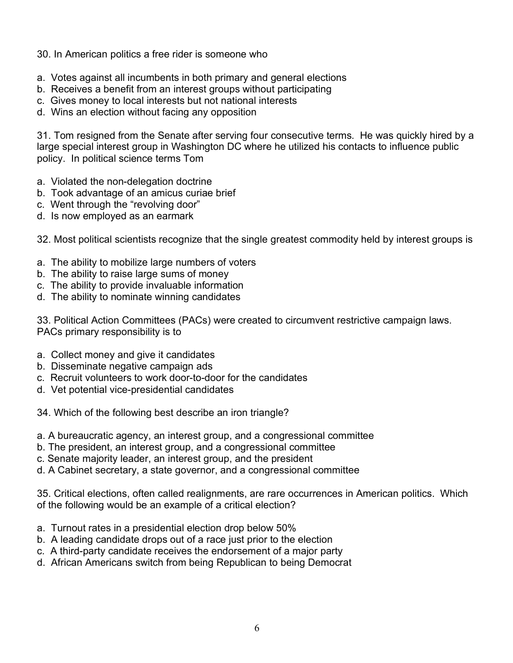## 30. In American politics a free rider is someone who

- a. Votes against all incumbents in both primary and general elections
- b. Receives a benefit from an interest groups without participating
- c. Gives money to local interests but not national interests
- d. Wins an election without facing any opposition

31. Tom resigned from the Senate after serving four consecutive terms. He was quickly hired by a large special interest group in Washington DC where he utilized his contacts to influence public policy. In political science terms Tom

- a. Violated the non-delegation doctrine
- b. Took advantage of an amicus curiae brief
- c. Went through the "revolving door"
- d. Is now employed as an earmark

32. Most political scientists recognize that the single greatest commodity held by interest groups is

- a. The ability to mobilize large numbers of voters
- b. The ability to raise large sums of money
- c. The ability to provide invaluable information
- d. The ability to nominate winning candidates

33. Political Action Committees (PACs) were created to circumvent restrictive campaign laws. PACs primary responsibility is to

- a. Collect money and give it candidates
- b. Disseminate negative campaign ads
- c. Recruit volunteers to work door-to-door for the candidates
- d. Vet potential vice-presidential candidates

34. Which of the following best describe an iron triangle?

- a. A bureaucratic agency, an interest group, and a congressional committee
- b. The president, an interest group, and a congressional committee
- c. Senate majority leader, an interest group, and the president
- d. A Cabinet secretary, a state governor, and a congressional committee

35. Critical elections, often called realignments, are rare occurrences in American politics. Which of the following would be an example of a critical election?

- a. Turnout rates in a presidential election drop below 50%
- b. A leading candidate drops out of a race just prior to the election
- c. A third-party candidate receives the endorsement of a major party
- d. African Americans switch from being Republican to being Democrat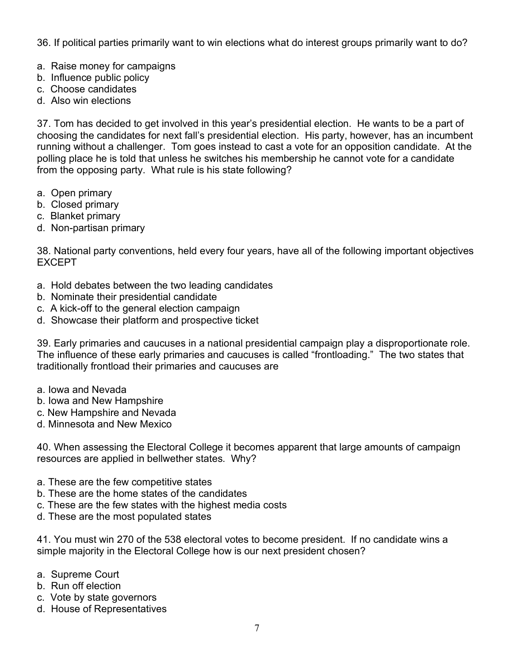36. If political parties primarily want to win elections what do interest groups primarily want to do?

- a. Raise money for campaigns
- b. Influence public policy
- c. Choose candidates
- d. Also win elections

37. Tom has decided to get involved in this year's presidential election. He wants to be a part of choosing the candidates for next fall's presidential election. His party, however, has an incumbent running without a challenger. Tom goes instead to cast a vote for an opposition candidate. At the polling place he is told that unless he switches his membership he cannot vote for a candidate from the opposing party. What rule is his state following?

- a. Open primary
- b. Closed primary
- c. Blanket primary
- d. Non-partisan primary

38. National party conventions, held every four years, have all of the following important objectives EXCEPT

- a. Hold debates between the two leading candidates
- b. Nominate their presidential candidate
- c. A kick-off to the general election campaign
- d. Showcase their platform and prospective ticket

39. Early primaries and caucuses in a national presidential campaign play a disproportionate role. The influence of these early primaries and caucuses is called "frontloading." The two states that traditionally frontload their primaries and caucuses are

- a. Iowa and Nevada
- b. Iowa and New Hampshire
- c. New Hampshire and Nevada
- d. Minnesota and New Mexico

40. When assessing the Electoral College it becomes apparent that large amounts of campaign resources are applied in bellwether states. Why?

- a. These are the few competitive states
- b. These are the home states of the candidates
- c. These are the few states with the highest media costs
- d. These are the most populated states

41. You must win 270 of the 538 electoral votes to become president. If no candidate wins a simple majority in the Electoral College how is our next president chosen?

- a. Supreme Court
- b. Run off election
- c. Vote by state governors
- d. House of Representatives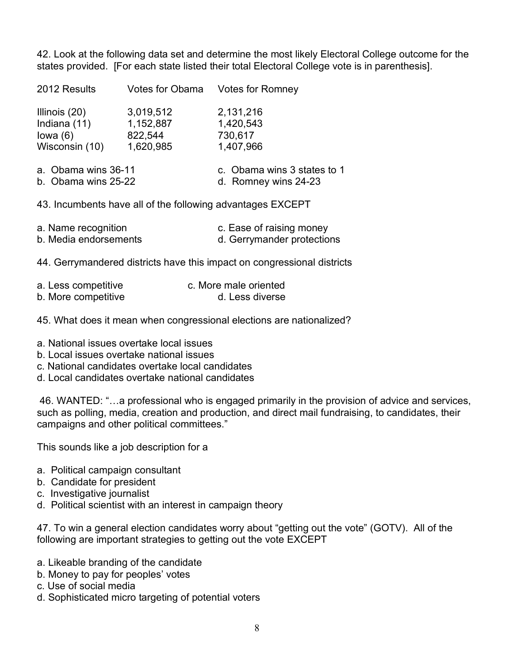42. Look at the following data set and determine the most likely Electoral College outcome for the states provided. [For each state listed their total Electoral College vote is in parenthesis].

2012 Results Votes for Obama Votes for Romney Illinois (20) 3,019,512 2,131,216 Indiana (11) 1,152,887 1,420,543 Iowa (6) 822,544 730,617 Wisconsin (10) 1,620,985 1,407,966

| a. Obama wins 36-11 | c. Obama wins 3 states to 1 |
|---------------------|-----------------------------|
| b. Obama wins 25-22 | d. Romney wins 24-23        |

43. Incumbents have all of the following advantages EXCEPT

| a. Name recognition   | c. Ease of raising money   |
|-----------------------|----------------------------|
| b. Media endorsements | d. Gerrymander protections |

44. Gerrymandered districts have this impact on congressional districts

| a. Less competitive | c. More male oriented |
|---------------------|-----------------------|
| b. More competitive | d. Less diverse       |

45. What does it mean when congressional elections are nationalized?

- a. National issues overtake local issues
- b. Local issues overtake national issues
- c. National candidates overtake local candidates
- d. Local candidates overtake national candidates

46. WANTED: "…a professional who is engaged primarily in the provision of advice and services, such as polling, media, creation and production, and direct mail fundraising, to candidates, their campaigns and other political committees."

This sounds like a job description for a

- a. Political campaign consultant
- b. Candidate for president
- c. Investigative journalist
- d. Political scientist with an interest in campaign theory

47. To win a general election candidates worry about "getting out the vote" (GOTV). All of the following are important strategies to getting out the vote EXCEPT

- a. Likeable branding of the candidate
- b. Money to pay for peoples' votes
- c. Use of social media
- d. Sophisticated micro targeting of potential voters